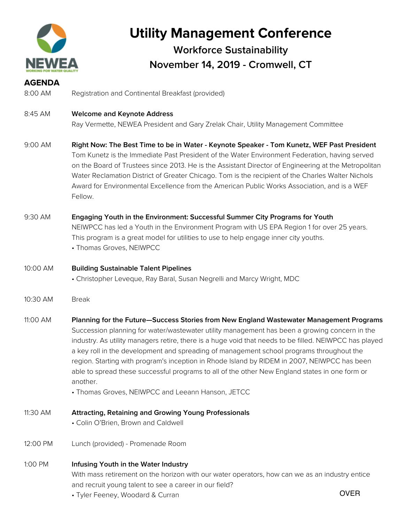

# **Utility Management Conference**

### **Workforce Sustainability November 14, 2019 - Cromwell, CT**

| <b>AGENDA</b> |                                                                                                                                                                                                                                                                                                                                                                                                                                                                                                                                                                                                                                                                   |             |
|---------------|-------------------------------------------------------------------------------------------------------------------------------------------------------------------------------------------------------------------------------------------------------------------------------------------------------------------------------------------------------------------------------------------------------------------------------------------------------------------------------------------------------------------------------------------------------------------------------------------------------------------------------------------------------------------|-------------|
| 8:00 AM       | Registration and Continental Breakfast (provided)                                                                                                                                                                                                                                                                                                                                                                                                                                                                                                                                                                                                                 |             |
| 8:45 AM       | <b>Welcome and Keynote Address</b><br>Ray Vermette, NEWEA President and Gary Zrelak Chair, Utility Management Committee                                                                                                                                                                                                                                                                                                                                                                                                                                                                                                                                           |             |
| 9:00 AM       | Right Now: The Best Time to be in Water - Keynote Speaker - Tom Kunetz, WEF Past President<br>Tom Kunetz is the Immediate Past President of the Water Environment Federation, having served<br>on the Board of Trustees since 2013. He is the Assistant Director of Engineering at the Metropolitan<br>Water Reclamation District of Greater Chicago. Tom is the recipient of the Charles Walter Nichols<br>Award for Environmental Excellence from the American Public Works Association, and is a WEF<br>Fellow.                                                                                                                                                |             |
| 9:30 AM       | Engaging Youth in the Environment: Successful Summer City Programs for Youth<br>NEIWPCC has led a Youth in the Environment Program with US EPA Region 1 for over 25 years.<br>This program is a great model for utilities to use to help engage inner city youths.<br>• Thomas Groves, NEIWPCC                                                                                                                                                                                                                                                                                                                                                                    |             |
| 10:00 AM      | <b>Building Sustainable Talent Pipelines</b><br>• Christopher Leveque, Ray Baral, Susan Negrelli and Marcy Wright, MDC                                                                                                                                                                                                                                                                                                                                                                                                                                                                                                                                            |             |
| 10:30 AM      | <b>Break</b>                                                                                                                                                                                                                                                                                                                                                                                                                                                                                                                                                                                                                                                      |             |
| 11:00 AM      | Planning for the Future-Success Stories from New England Wastewater Management Programs<br>Succession planning for water/wastewater utility management has been a growing concern in the<br>industry. As utility managers retire, there is a huge void that needs to be filled. NEIWPCC has played<br>a key roll in the development and spreading of management school programs throughout the<br>region. Starting with program's inception in Rhode Island by RIDEM in 2007, NEIWPCC has been<br>able to spread these successful programs to all of the other New England states in one form or<br>another.<br>• Thomas Groves, NEIWPCC and Leeann Hanson, JETCC |             |
| 11:30 AM      | <b>Attracting, Retaining and Growing Young Professionals</b><br>• Colin O'Brien, Brown and Caldwell                                                                                                                                                                                                                                                                                                                                                                                                                                                                                                                                                               |             |
| 12:00 PM      | Lunch (provided) - Promenade Room                                                                                                                                                                                                                                                                                                                                                                                                                                                                                                                                                                                                                                 |             |
| 1:00 PM       | Infusing Youth in the Water Industry<br>With mass retirement on the horizon with our water operators, how can we as an industry entice<br>and recruit young talent to see a career in our field?<br>• Tyler Feeney, Woodard & Curran                                                                                                                                                                                                                                                                                                                                                                                                                              | <b>OVER</b> |